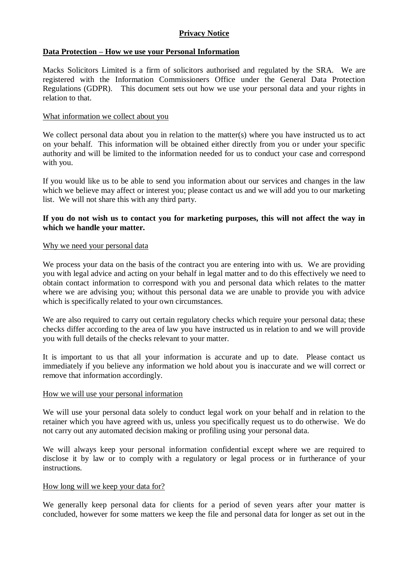# **Privacy Notice**

## **Data Protection – How we use your Personal Information**

Macks Solicitors Limited is a firm of solicitors authorised and regulated by the SRA. We are registered with the Information Commissioners Office under the General Data Protection Regulations (GDPR). This document sets out how we use your personal data and your rights in relation to that.

### What information we collect about you

We collect personal data about you in relation to the matter(s) where you have instructed us to act on your behalf. This information will be obtained either directly from you or under your specific authority and will be limited to the information needed for us to conduct your case and correspond with you.

If you would like us to be able to send you information about our services and changes in the law which we believe may affect or interest you; please contact us and we will add you to our marketing list. We will not share this with any third party.

## **If you do not wish us to contact you for marketing purposes, this will not affect the way in which we handle your matter.**

#### Why we need your personal data

We process your data on the basis of the contract you are entering into with us. We are providing you with legal advice and acting on your behalf in legal matter and to do this effectively we need to obtain contact information to correspond with you and personal data which relates to the matter where we are advising you; without this personal data we are unable to provide you with advice which is specifically related to your own circumstances.

We are also required to carry out certain regulatory checks which require your personal data; these checks differ according to the area of law you have instructed us in relation to and we will provide you with full details of the checks relevant to your matter.

It is important to us that all your information is accurate and up to date. Please contact us immediately if you believe any information we hold about you is inaccurate and we will correct or remove that information accordingly.

#### How we will use your personal information

We will use your personal data solely to conduct legal work on your behalf and in relation to the retainer which you have agreed with us, unless you specifically request us to do otherwise. We do not carry out any automated decision making or profiling using your personal data.

We will always keep your personal information confidential except where we are required to disclose it by law or to comply with a regulatory or legal process or in furtherance of your instructions.

#### How long will we keep your data for?

We generally keep personal data for clients for a period of seven years after your matter is concluded, however for some matters we keep the file and personal data for longer as set out in the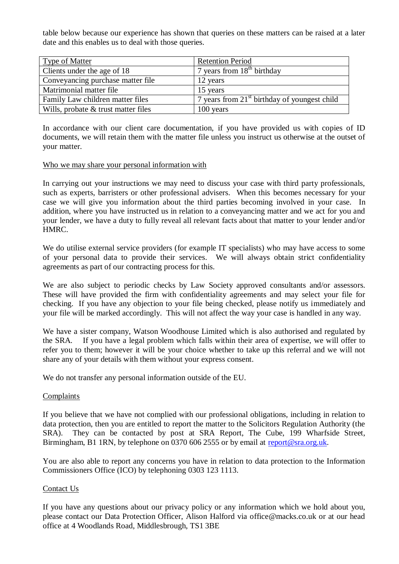table below because our experience has shown that queries on these matters can be raised at a later date and this enables us to deal with those queries.

| <b>Type of Matter</b>                 | <b>Retention Period</b>                        |
|---------------------------------------|------------------------------------------------|
| Clients under the age of 18           | 7 years from $18th$ birthday                   |
| Conveyancing purchase matter file     | 12 years                                       |
| Matrimonial matter file               | 15 years                                       |
| Family Law children matter files      | 7 years from $21st$ birthday of youngest child |
| Wills, probate $&$ trust matter files | 100 years                                      |

In accordance with our client care documentation, if you have provided us with copies of ID documents, we will retain them with the matter file unless you instruct us otherwise at the outset of your matter.

### Who we may share your personal information with

In carrying out your instructions we may need to discuss your case with third party professionals, such as experts, barristers or other professional advisers. When this becomes necessary for your case we will give you information about the third parties becoming involved in your case. In addition, where you have instructed us in relation to a conveyancing matter and we act for you and your lender, we have a duty to fully reveal all relevant facts about that matter to your lender and/or HMRC.

We do utilise external service providers (for example IT specialists) who may have access to some of your personal data to provide their services. We will always obtain strict confidentiality agreements as part of our contracting process for this.

We are also subject to periodic checks by Law Society approved consultants and/or assessors. These will have provided the firm with confidentiality agreements and may select your file for checking. If you have any objection to your file being checked, please notify us immediately and your file will be marked accordingly. This will not affect the way your case is handled in any way.

We have a sister company, Watson Woodhouse Limited which is also authorised and regulated by the SRA. If you have a legal problem which falls within their area of expertise, we will offer to refer you to them; however it will be your choice whether to take up this referral and we will not share any of your details with them without your express consent.

We do not transfer any personal information outside of the EU.

### **Complaints**

If you believe that we have not complied with our professional obligations, including in relation to data protection, then you are entitled to report the matter to the Solicitors Regulation Authority (the SRA). They can be contacted by post at SRA Report, The Cube, 199 Wharfside Street, Birmingham, B1 1RN, by telephone on 0370 606 2555 or by email at [report@sra.org.uk.](mailto:report@sra.org.uk)

You are also able to report any concerns you have in relation to data protection to the Information Commissioners Office (ICO) by telephoning 0303 123 1113.

### Contact Us

If you have any questions about our privacy policy or any information which we hold about you, please contact our Data Protection Officer, Alison Halford via office@macks.co.uk or at our head office at 4 Woodlands Road, Middlesbrough, TS1 3BE